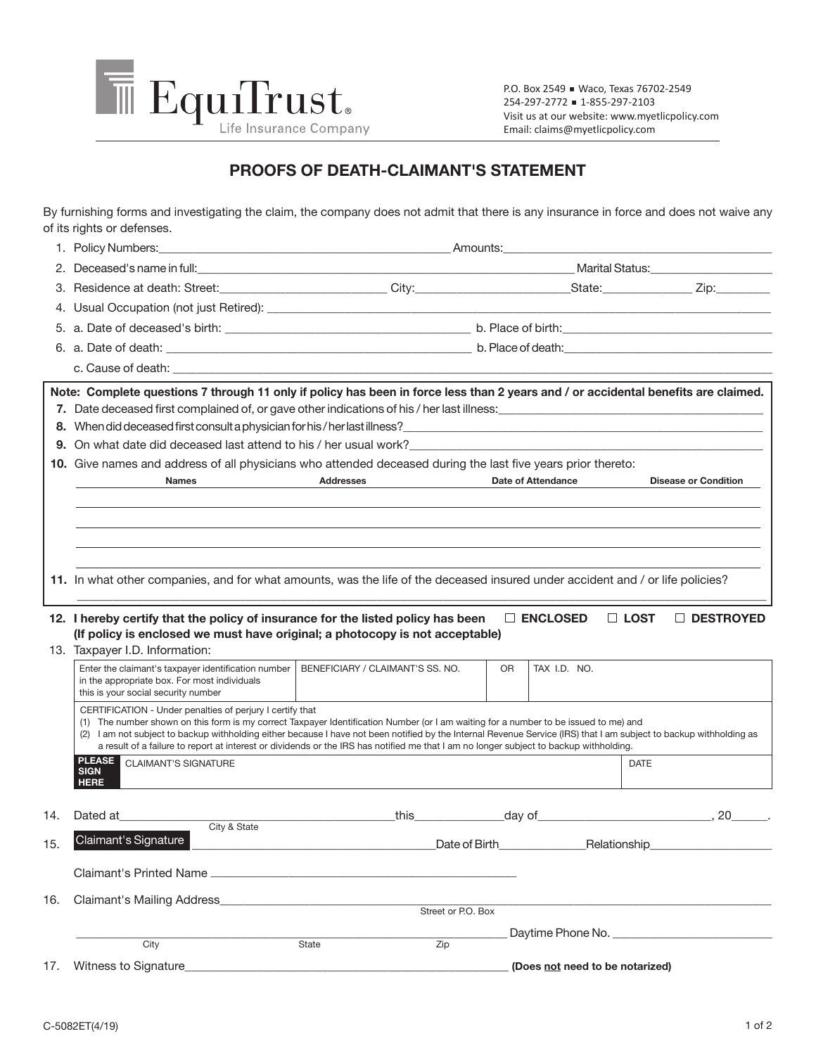

P.O. Box 2549 Waco, Texas 76702-2549 254-297-2772 1-855-297-2103 Visit us at our website: www.myetlicpolicy.com Email: claims@myetlicpolicy.com

## **PROOFS OF DEATH-CLAIMANT'S STATEMENT**

By furnishing forms and investigating the claim, the company does not admit that there is any insurance in force and does not waive any of its rights or defenses.

|     | 1. Policy Numbers:                                                                                                                                                                                                             |                                                                                                                                                                                                                                |                                 |                                 |
|-----|--------------------------------------------------------------------------------------------------------------------------------------------------------------------------------------------------------------------------------|--------------------------------------------------------------------------------------------------------------------------------------------------------------------------------------------------------------------------------|---------------------------------|---------------------------------|
|     |                                                                                                                                                                                                                                | 2. Deceased's name in full: example and the set of the set of the set of the set of the set of the set of the set of the set of the set of the set of the set of the set of the set of the set of the set of the set of the se |                                 |                                 |
|     | 3. Residence at death: Street: City: City: City: State: State: Zip: Zip: Zip:                                                                                                                                                  |                                                                                                                                                                                                                                |                                 |                                 |
|     |                                                                                                                                                                                                                                |                                                                                                                                                                                                                                |                                 |                                 |
|     |                                                                                                                                                                                                                                |                                                                                                                                                                                                                                |                                 |                                 |
|     |                                                                                                                                                                                                                                |                                                                                                                                                                                                                                |                                 |                                 |
|     | c. Cause of death: example, and a series of death in the series of the series of the series of the series of the series of the series of the series of the series of the series of the series of the series of the series of t |                                                                                                                                                                                                                                |                                 |                                 |
|     | Note: Complete questions 7 through 11 only if policy has been in force less than 2 years and / or accidental benefits are claimed.                                                                                             |                                                                                                                                                                                                                                |                                 |                                 |
|     | 7. Date deceased first complained of, or gave other indications of his / her last illness: <u>[1984]</u> The deceased first complained of, or gave other indications of his / her last illness:                                |                                                                                                                                                                                                                                |                                 |                                 |
|     | 8. When did deceased first consult a physician for his/her last illness?                                                                                                                                                       |                                                                                                                                                                                                                                |                                 |                                 |
|     | 9. On what date did deceased last attend to his / her usual work?<br>The same state of the state of the state of the state of the state of the state of the state of the state of t                                            |                                                                                                                                                                                                                                |                                 |                                 |
|     | 10. Give names and address of all physicians who attended deceased during the last five years prior thereto:                                                                                                                   |                                                                                                                                                                                                                                |                                 |                                 |
|     | <b>Names</b>                                                                                                                                                                                                                   | <b>Addresses</b>                                                                                                                                                                                                               | Date of Attendance              | <b>Disease or Condition</b>     |
|     |                                                                                                                                                                                                                                |                                                                                                                                                                                                                                |                                 |                                 |
|     |                                                                                                                                                                                                                                |                                                                                                                                                                                                                                |                                 |                                 |
|     |                                                                                                                                                                                                                                |                                                                                                                                                                                                                                |                                 |                                 |
|     |                                                                                                                                                                                                                                |                                                                                                                                                                                                                                |                                 |                                 |
|     |                                                                                                                                                                                                                                |                                                                                                                                                                                                                                |                                 |                                 |
|     | 11. In what other companies, and for what amounts, was the life of the deceased insured under accident and / or life policies?                                                                                                 |                                                                                                                                                                                                                                |                                 |                                 |
|     |                                                                                                                                                                                                                                |                                                                                                                                                                                                                                |                                 |                                 |
|     | 12. I hereby certify that the policy of insurance for the listed policy has been                                                                                                                                               |                                                                                                                                                                                                                                | $\square$ ENCLOSED              | $\Box$ LOST<br>$\Box$ DESTROYED |
|     | (If policy is enclosed we must have original; a photocopy is not acceptable)                                                                                                                                                   |                                                                                                                                                                                                                                |                                 |                                 |
|     | 13. Taxpayer I.D. Information:                                                                                                                                                                                                 |                                                                                                                                                                                                                                |                                 |                                 |
|     | Enter the claimant's taxpayer identification number<br>in the appropriate box. For most individuals                                                                                                                            | BENEFICIARY / CLAIMANT'S SS, NO.                                                                                                                                                                                               | TAX I.D. NO.<br><b>OR</b>       |                                 |
|     | this is your social security number                                                                                                                                                                                            |                                                                                                                                                                                                                                |                                 |                                 |
|     | CERTIFICATION - Under penalties of perjury I certify that<br>(1) The number shown on this form is my correct Taxpayer Identification Number (or I am waiting for a number to be issued to me) and                              |                                                                                                                                                                                                                                |                                 |                                 |
|     | (2) I am not subject to backup withholding either because I have not been notified by the Internal Revenue Service (IRS) that I am subject to backup withholding as                                                            |                                                                                                                                                                                                                                |                                 |                                 |
|     | a result of a failure to report at interest or dividends or the IRS has notified me that I am no longer subject to backup withholding.<br><b>PLEASE</b> CLAIMANT'S SIGNATURE                                                   |                                                                                                                                                                                                                                |                                 | <b>DATE</b>                     |
|     | <b>SIGN</b><br><b>HERE</b>                                                                                                                                                                                                     |                                                                                                                                                                                                                                |                                 |                                 |
|     |                                                                                                                                                                                                                                |                                                                                                                                                                                                                                |                                 |                                 |
| 14. | Dated at                                                                                                                                                                                                                       | this the control of the control of the control of the control of the control of the control of the control of the control of the control of the control of the control of the control of the control of the control of the con |                                 |                                 |
|     | City & State                                                                                                                                                                                                                   |                                                                                                                                                                                                                                |                                 |                                 |
| 15. | Claimant's Signature                                                                                                                                                                                                           | <u> 1989 - Johann Barbara, martxa eta idazlea (h. 1989).</u>                                                                                                                                                                   |                                 | Relationship                    |
|     |                                                                                                                                                                                                                                |                                                                                                                                                                                                                                |                                 |                                 |
| 16. |                                                                                                                                                                                                                                |                                                                                                                                                                                                                                |                                 |                                 |
|     |                                                                                                                                                                                                                                | Street or P.O. Box                                                                                                                                                                                                             |                                 |                                 |
|     |                                                                                                                                                                                                                                |                                                                                                                                                                                                                                |                                 |                                 |
| 17. | City                                                                                                                                                                                                                           | State<br>Zip                                                                                                                                                                                                                   | (Does not need to be notarized) |                                 |